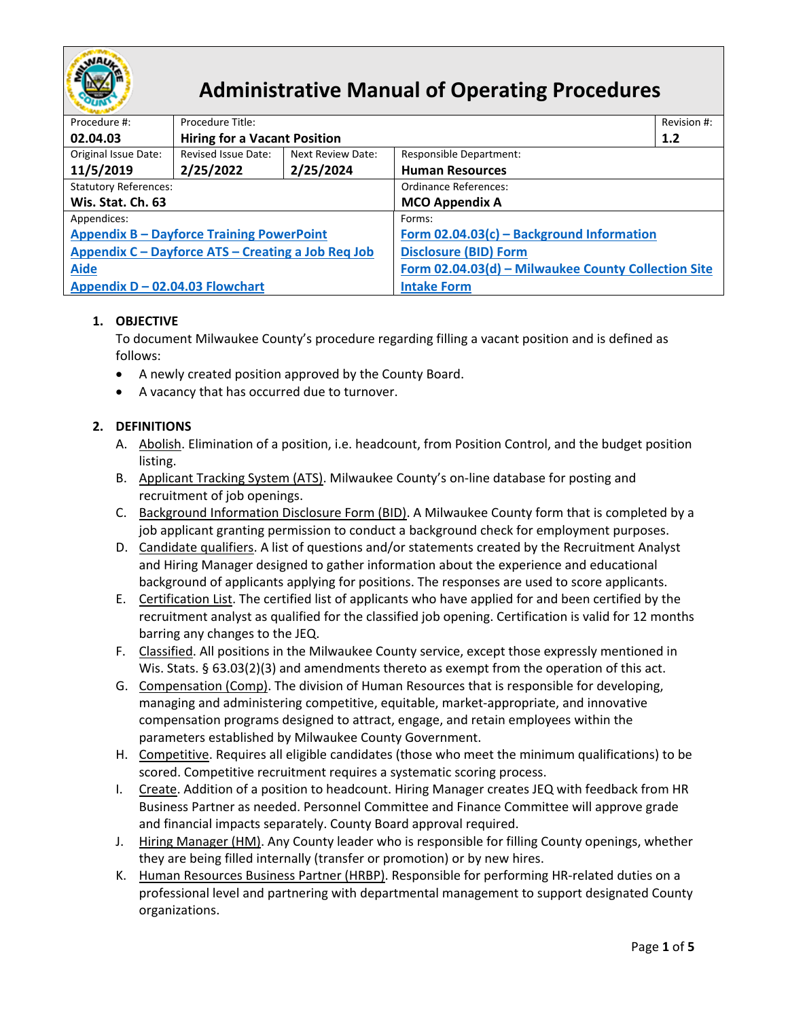

# **Administrative Manual of Operating Procedures**

| Procedure #:                                       | Procedure Title:                    |                   |                                                     | Revision #: |  |  |
|----------------------------------------------------|-------------------------------------|-------------------|-----------------------------------------------------|-------------|--|--|
| 02.04.03                                           | <b>Hiring for a Vacant Position</b> |                   |                                                     | 1.2         |  |  |
| Original Issue Date:                               | Revised Issue Date:                 | Next Review Date: | Responsible Department:                             |             |  |  |
| 11/5/2019                                          | 2/25/2022                           | 2/25/2024         | <b>Human Resources</b>                              |             |  |  |
| <b>Statutory References:</b>                       |                                     |                   | Ordinance References:                               |             |  |  |
| Wis. Stat. Ch. 63                                  |                                     |                   | <b>MCO Appendix A</b>                               |             |  |  |
| Appendices:                                        |                                     |                   | Forms:                                              |             |  |  |
| <b>Appendix B - Dayforce Training PowerPoint</b>   |                                     |                   | Form 02.04.03(c) - Background Information           |             |  |  |
| Appendix C - Dayforce ATS - Creating a Job Req Job |                                     |                   | <b>Disclosure (BID) Form</b>                        |             |  |  |
| <b>Aide</b>                                        |                                     |                   | Form 02.04.03(d) - Milwaukee County Collection Site |             |  |  |
| Appendix D - 02.04.03 Flowchart                    |                                     |                   | <b>Intake Form</b>                                  |             |  |  |

## **1. OBJECTIVE**

To document Milwaukee County's procedure regarding filling a vacant position and is defined as follows:

- A newly created position approved by the County Board.
- A vacancy that has occurred due to turnover.

### **2. DEFINITIONS**

- A. Abolish. Elimination of a position, i.e. headcount, from Position Control, and the budget position listing.
- <span id="page-0-3"></span>B. Applicant Tracking System (ATS). Milwaukee County's on-line database for posting and recruitment of job openings.
- <span id="page-0-6"></span>C. Background Information Disclosure Form (BID). A Milwaukee County form that is completed by a job applicant granting permission to conduct a background check for employment purposes.
- <span id="page-0-4"></span>D. Candidate qualifiers. A list of questions and/or statements created by the Recruitment Analyst and Hiring Manager designed to gather information about the experience and educational background of applicants applying for positions. The responses are used to score applicants.
- <span id="page-0-5"></span>E. Certification List. The certified list of applicants who have applied for and been certified by the recruitment analyst as qualified for the classified job opening. Certification is valid for 12 months barring any changes to the JEQ.
- <span id="page-0-0"></span>F. Classified. All positions in the Milwaukee County service, except those expressly mentioned in Wis. Stats. § 63.03(2)(3) and amendments thereto as exempt from the operation of this act.
- <span id="page-0-1"></span>G. Compensation (Comp). The division of Human Resources that is responsible for developing, managing and administering competitive, equitable, market-appropriate, and innovative compensation programs designed to attract, engage, and retain employees within the parameters established by Milwaukee County Government.
- H. Competitive. Requires all eligible candidates (those who meet the minimum qualifications) to be scored. Competitive recruitment requires a systematic scoring process.
- <span id="page-0-2"></span>I. Create. Addition of a position to headcount. Hiring Manager creates JEQ with feedback from HR Business Partner as needed. Personnel Committee and Finance Committee will approve grade and financial impacts separately. County Board approval required.
- J. Hiring Manager (HM). Any County leader who is responsible for filling County openings, whether they are being filled internally (transfer or promotion) or by new hires.
- K. Human Resources Business Partner (HRBP). Responsible for performing HR-related duties on a professional level and partnering with departmental management to support designated County organizations.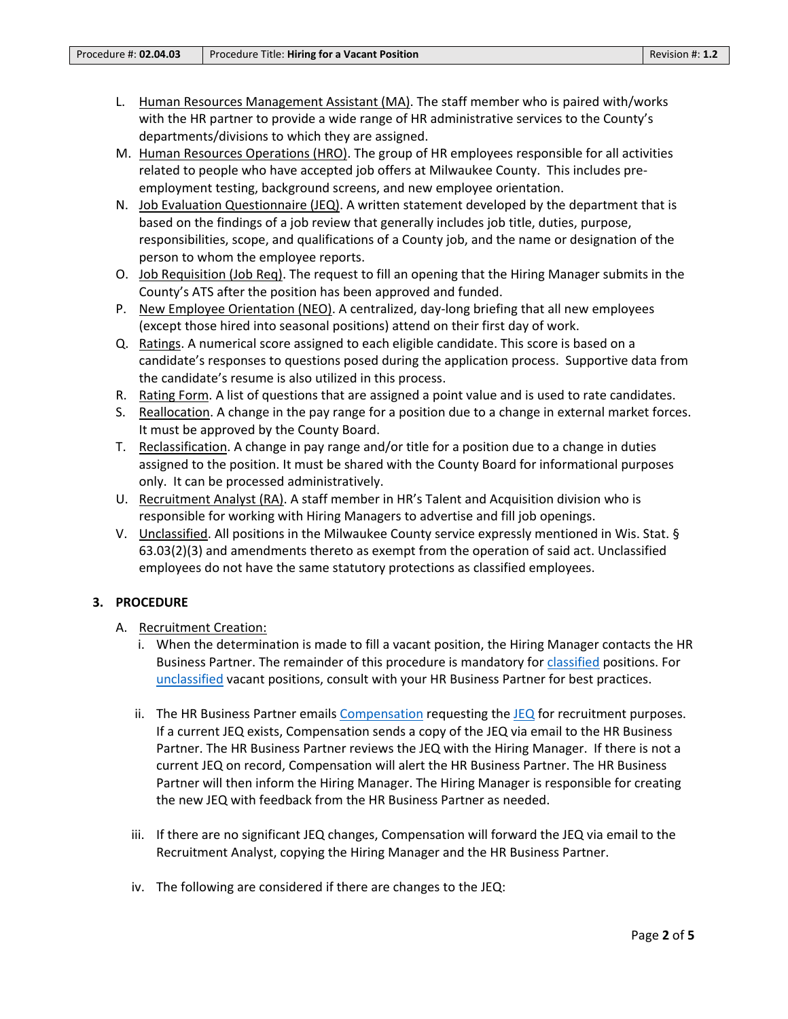- L. Human Resources Management Assistant (MA). The staff member who is paired with/works with the HR partner to provide a wide range of HR administrative services to the County's departments/divisions to which they are assigned.
- <span id="page-1-1"></span>M. Human Resources Operations (HRO). The group of HR employees responsible for all activities related to people who have accepted job offers at Milwaukee County. This includes preemployment testing, background screens, and new employee orientation.
- N. Job Evaluation Questionnaire (JEQ). A written statement developed by the department that is based on the findings of a job review that generally includes job title, duties, purpose, responsibilities, scope, and qualifications of a County job, and the name or designation of the person to whom the employee reports.
- <span id="page-1-3"></span>O. Job Requisition (Job Req). The request to fill an opening that the Hiring Manager submits in the County's ATS after the position has been approved and funded.
- <span id="page-1-5"></span>P. New Employee Orientation (NEO). A centralized, day-long briefing that all new employees (except those hired into seasonal positions) attend on their first day of work.
- <span id="page-1-4"></span>Q. Ratings. A numerical score assigned to each eligible candidate. This score is based on a candidate's responses to questions posed during the application process. Supportive data from the candidate's resume is also utilized in this process.
- R. Rating Form. A list of questions that are assigned a point value and is used to rate candidates.
- <span id="page-1-2"></span>S. Reallocation. A change in the pay range for a position due to a change in external market forces. It must be approved by the County Board.
- T. Reclassification. A change in pay range and/or title for a position due to a change in duties assigned to the position. It must be shared with the County Board for informational purposes only. It can be processed administratively.
- U. Recruitment Analyst (RA). A staff member in HR's Talent and Acquisition division who is responsible for working with Hiring Managers to advertise and fill job openings.
- <span id="page-1-0"></span>V. Unclassified. All positions in the Milwaukee County service expressly mentioned in Wis. Stat. § 63.03(2)(3) and amendments thereto as exempt from the operation of said act. Unclassified employees do not have the same statutory protections as classified employees.

#### **3. PROCEDURE**

- A. Recruitment Creation:
	- i. When the determination is made to fill a vacant position, the Hiring Manager contacts the HR Business Partner. The remainder of this procedure is mandatory for [classified](#page-0-0) positions. For [unclassified](#page-1-0) vacant positions, consult with your HR Business Partner for best practices.
	- ii. The HR Business Partner emails [Compensation](#page-0-1) requesting the [JEQ](#page-1-1) for recruitment purposes. If a current JEQ exists, Compensation sends a copy of the JEQ via email to the HR Business Partner. The HR Business Partner reviews the JEQ with the Hiring Manager. If there is not a current JEQ on record, Compensation will alert the HR Business Partner. The HR Business Partner will then inform the Hiring Manager. The Hiring Manager is responsible for creating the new JEQ with feedback from the HR Business Partner as needed.
	- iii. If there are no significant JEQ changes, Compensation will forward the JEQ via email to the Recruitment Analyst, copying the Hiring Manager and the HR Business Partner.
	- iv. The following are considered if there are changes to the JEQ: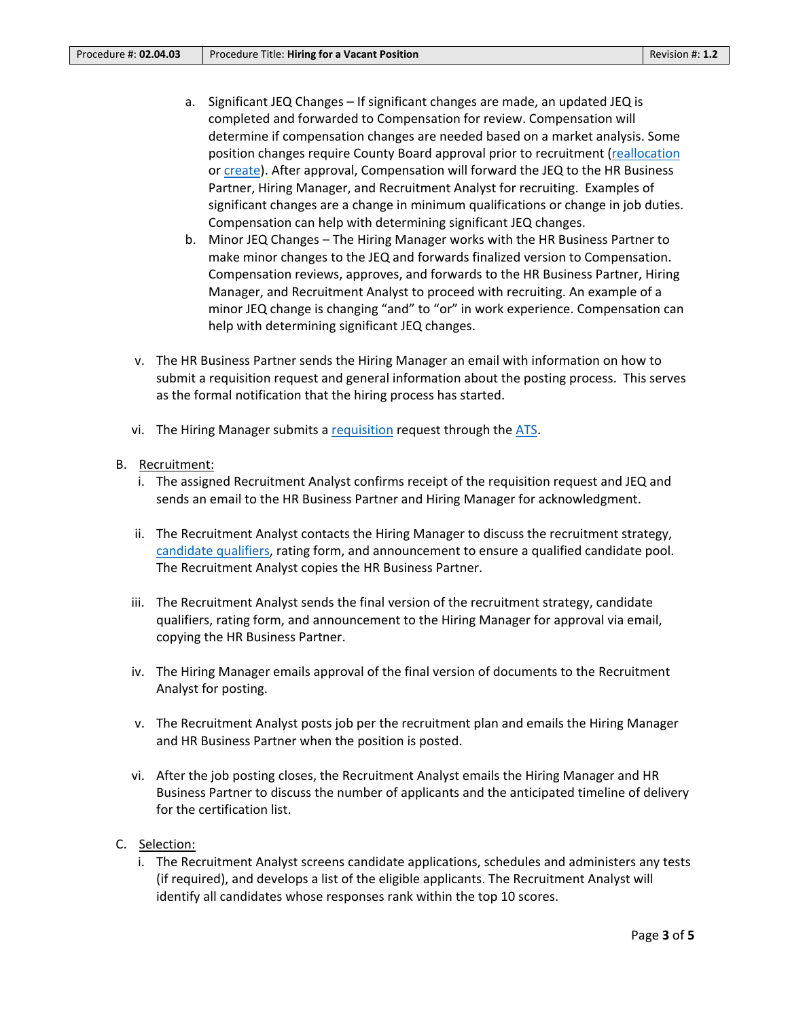- a. Significant JEQ Changes If significant changes are made, an updated JEQ is completed and forwarded to Compensation for review. Compensation will determine if compensation changes are needed based on a market analysis. Some position changes require County Board approval prior to recruitment [\(reallocation](#page-1-2) or [create\)](#page-0-2). After approval, Compensation will forward the JEQ to the HR Business Partner, Hiring Manager, and Recruitment Analyst for recruiting. Examples of significant changes are a change in minimum qualifications or change in job duties. Compensation can help with determining significant JEQ changes.
- b. Minor JEQ Changes The Hiring Manager works with the HR Business Partner to make minor changes to the JEQ and forwards finalized version to Compensation. Compensation reviews, approves, and forwards to the HR Business Partner, Hiring Manager, and Recruitment Analyst to proceed with recruiting. An example of a minor JEQ change is changing "and" to "or" in work experience. Compensation can help with determining significant JEQ changes.
- v. The HR Business Partner sends the Hiring Manager an email with information on how to submit a requisition request and general information about the posting process. This serves as the formal notification that the hiring process has started.
- vi. The Hiring Manager submits a [requisition](#page-1-3) request through the [ATS.](#page-0-3)
- B. Recruitment:
	- i. The assigned Recruitment Analyst confirms receipt of the requisition request and JEQ and sends an email to the HR Business Partner and Hiring Manager for acknowledgment.
	- ii. The Recruitment Analyst contacts the Hiring Manager to discuss the recruitment strategy, [candidate qualifiers,](#page-0-4) rating form, and announcement to ensure a qualified candidate pool. The Recruitment Analyst copies the HR Business Partner.
	- iii. The Recruitment Analyst sends the final version of the recruitment strategy, candidate qualifiers, rating form, and announcement to the Hiring Manager for approval via email, copying the HR Business Partner.
	- iv. The Hiring Manager emails approval of the final version of documents to the Recruitment Analyst for posting.
	- v. The Recruitment Analyst posts job per the recruitment plan and emails the Hiring Manager and HR Business Partner when the position is posted.
	- vi. After the job posting closes, the Recruitment Analyst emails the Hiring Manager and HR Business Partner to discuss the number of applicants and the anticipated timeline of delivery for the certification list.
- C. Selection:
	- i. The Recruitment Analyst screens candidate applications, schedules and administers any tests (if required), and develops a list of the eligible applicants. The Recruitment Analyst will identify all candidates whose responses rank within the top 10 scores.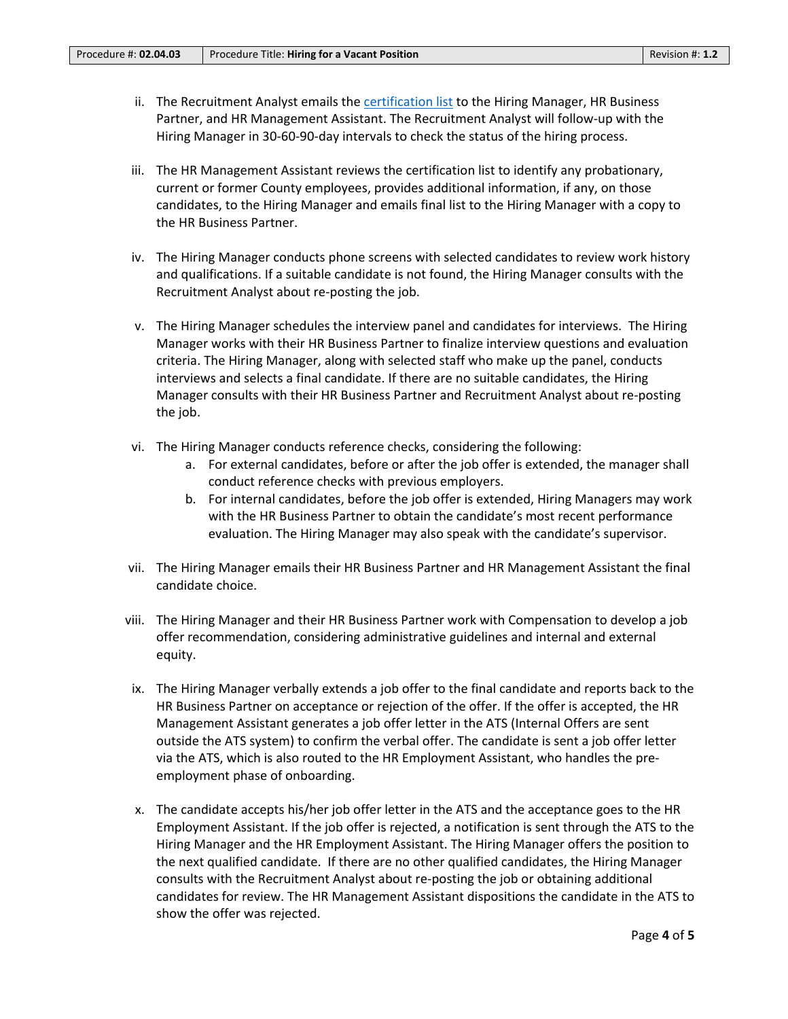- ii. The Recruitment Analyst emails the [certification list](#page-0-5) to the Hiring Manager, HR Business Partner, and HR Management Assistant. The Recruitment Analyst will follow-up with the Hiring Manager in 30-60-90-day intervals to check the status of the hiring process.
- iii. The HR Management Assistant reviews the certification list to identify any probationary, current or former County employees, provides additional information, if any, on those candidates, to the Hiring Manager and emails final list to the Hiring Manager with a copy to the HR Business Partner.
- iv. The Hiring Manager conducts phone screens with selected candidates to review work history and qualifications. If a suitable candidate is not found, the Hiring Manager consults with the Recruitment Analyst about re-posting the job.
- v. The Hiring Manager schedules the interview panel and candidates for interviews. The Hiring Manager works with their HR Business Partner to finalize interview questions and evaluation criteria. The Hiring Manager, along with selected staff who make up the panel, conducts interviews and selects a final candidate. If there are no suitable candidates, the Hiring Manager consults with their HR Business Partner and Recruitment Analyst about re-posting the job.
- vi. The Hiring Manager conducts reference checks, considering the following:
	- a. For external candidates, before or after the job offer is extended, the manager shall conduct reference checks with previous employers.
	- b. For internal candidates, before the job offer is extended, Hiring Managers may work with the HR Business Partner to obtain the candidate's most recent performance evaluation. The Hiring Manager may also speak with the candidate's supervisor.
- vii. The Hiring Manager emails their HR Business Partner and HR Management Assistant the final candidate choice.
- viii. The Hiring Manager and their HR Business Partner work with Compensation to develop a job offer recommendation, considering administrative guidelines and internal and external equity.
- ix. The Hiring Manager verbally extends a job offer to the final candidate and reports back to the HR Business Partner on acceptance or rejection of the offer. If the offer is accepted, the HR Management Assistant generates a job offer letter in the ATS (Internal Offers are sent outside the ATS system) to confirm the verbal offer. The candidate is sent a job offer letter via the ATS, which is also routed to the HR Employment Assistant, who handles the preemployment phase of onboarding.
- x. The candidate accepts his/her job offer letter in the ATS and the acceptance goes to the HR Employment Assistant. If the job offer is rejected, a notification is sent through the ATS to the Hiring Manager and the HR Employment Assistant. The Hiring Manager offers the position to the next qualified candidate. If there are no other qualified candidates, the Hiring Manager consults with the Recruitment Analyst about re-posting the job or obtaining additional candidates for review. The HR Management Assistant dispositions the candidate in the ATS to show the offer was rejected.